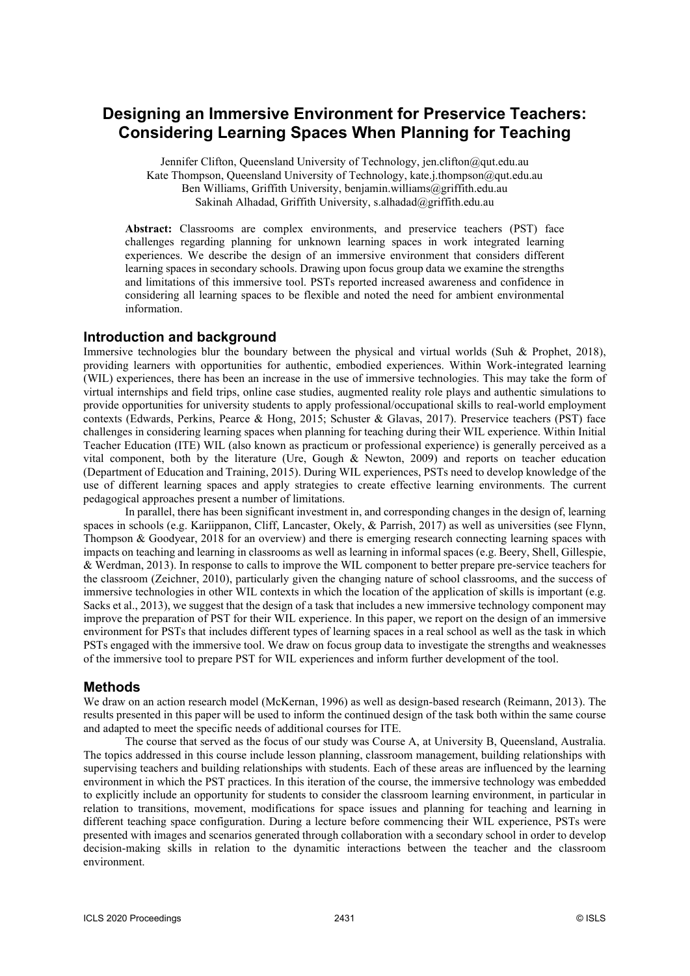# **Designing an Immersive Environment for Preservice Teachers: Considering Learning Spaces When Planning for Teaching**

Jennifer Clifton, Queensland University of Technology, jen.clifton@qut.edu.au Kate Thompson, Queensland University of Technology, kate.j.thompson@qut.edu.au Ben Williams, Griffith University, benjamin.williams@griffith.edu.au Sakinah Alhadad, Griffith University, s.alhadad@griffith.edu.au

**Abstract:** Classrooms are complex environments, and preservice teachers (PST) face challenges regarding planning for unknown learning spaces in work integrated learning experiences. We describe the design of an immersive environment that considers different learning spaces in secondary schools. Drawing upon focus group data we examine the strengths and limitations of this immersive tool. PSTs reported increased awareness and confidence in considering all learning spaces to be flexible and noted the need for ambient environmental information.

## **Introduction and background**

Immersive technologies blur the boundary between the physical and virtual worlds (Suh & Prophet, 2018), providing learners with opportunities for authentic, embodied experiences. Within Work-integrated learning (WIL) experiences, there has been an increase in the use of immersive technologies. This may take the form of virtual internships and field trips, online case studies, augmented reality role plays and authentic simulations to provide opportunities for university students to apply professional/occupational skills to real-world employment contexts (Edwards, Perkins, Pearce & Hong, 2015; Schuster & Glavas, 2017). Preservice teachers (PST) face challenges in considering learning spaces when planning for teaching during their WIL experience. Within Initial Teacher Education (ITE) WIL (also known as practicum or professional experience) is generally perceived as a vital component, both by the literature (Ure, Gough & Newton, 2009) and reports on teacher education (Department of Education and Training, 2015). During WIL experiences, PSTs need to develop knowledge of the use of different learning spaces and apply strategies to create effective learning environments. The current pedagogical approaches present a number of limitations.

In parallel, there has been significant investment in, and corresponding changes in the design of, learning spaces in schools (e.g. Kariippanon, Cliff, Lancaster, Okely, & Parrish, 2017) as well as universities (see Flynn, Thompson & Goodyear, 2018 for an overview) and there is emerging research connecting learning spaces with impacts on teaching and learning in classrooms as well as learning in informal spaces (e.g. Beery, Shell, Gillespie, & Werdman, 2013). In response to calls to improve the WIL component to better prepare pre-service teachers for the classroom (Zeichner, 2010), particularly given the changing nature of school classrooms, and the success of immersive technologies in other WIL contexts in which the location of the application of skills is important (e.g. Sacks et al., 2013), we suggest that the design of a task that includes a new immersive technology component may improve the preparation of PST for their WIL experience. In this paper, we report on the design of an immersive environment for PSTs that includes different types of learning spaces in a real school as well as the task in which PSTs engaged with the immersive tool. We draw on focus group data to investigate the strengths and weaknesses of the immersive tool to prepare PST for WIL experiences and inform further development of the tool.

## **Methods**

We draw on an action research model (McKernan, 1996) as well as design-based research (Reimann, 2013). The results presented in this paper will be used to inform the continued design of the task both within the same course and adapted to meet the specific needs of additional courses for ITE.

The course that served as the focus of our study was Course A, at University B, Queensland, Australia. The topics addressed in this course include lesson planning, classroom management, building relationships with supervising teachers and building relationships with students. Each of these areas are influenced by the learning environment in which the PST practices. In this iteration of the course, the immersive technology was embedded to explicitly include an opportunity for students to consider the classroom learning environment, in particular in relation to transitions, movement, modifications for space issues and planning for teaching and learning in different teaching space configuration. During a lecture before commencing their WIL experience, PSTs were presented with images and scenarios generated through collaboration with a secondary school in order to develop decision-making skills in relation to the dynamitic interactions between the teacher and the classroom environment.